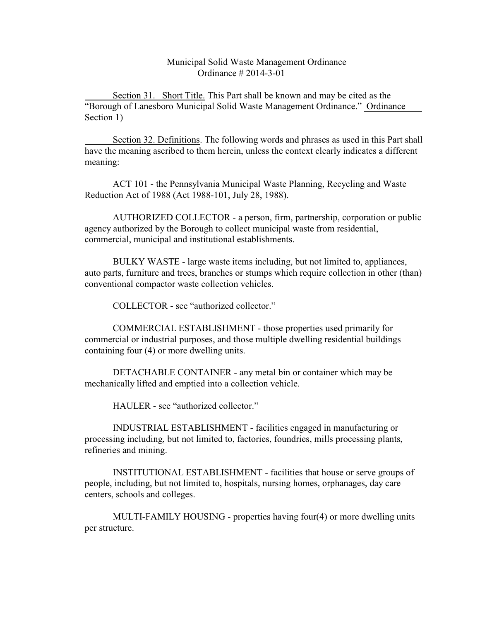Municipal Solid Waste Management Ordinance Ordinance # 2014-3-01

Section 31. Short Title. This Part shall be known and may be cited as the "Borough of Lanesboro Municipal Solid Waste Management Ordinance." Ordinance Section 1)

Section 32. Definitions. The following words and phrases as used in this Part shall have the meaning ascribed to them herein, unless the context clearly indicates a different meaning:

ACT 101 - the Pennsylvania Municipal Waste Planning, Recycling and Waste Reduction Act of 1988 (Act 1988-101, July 28, 1988).

AUTHORIZED COLLECTOR - a person, firm, partnership, corporation or public agency authorized by the Borough to collect municipal waste from residential, commercial, municipal and institutional establishments.

BULKY WASTE - large waste items including, but not limited to, appliances, auto parts, furniture and trees, branches or stumps which require collection in other (than) conventional compactor waste collection vehicles.

COLLECTOR - see "authorized collector."

COMMERCIAL ESTABLISHMENT - those properties used primarily for commercial or industrial purposes, and those multiple dwelling residential buildings containing four (4) or more dwelling units.

DETACHABLE CONTAINER - any metal bin or container which may be mechanically lifted and emptied into a collection vehicle.

HAULER - see "authorized collector."

INDUSTRIAL ESTABLISHMENT - facilities engaged in manufacturing or processing including, but not limited to, factories, foundries, mills processing plants, refineries and mining.

INSTITUTIONAL ESTABLISHMENT - facilities that house or serve groups of people, including, but not limited to, hospitals, nursing homes, orphanages, day care centers, schools and colleges.

MULTI-FAMILY HOUSING - properties having four(4) or more dwelling units per structure.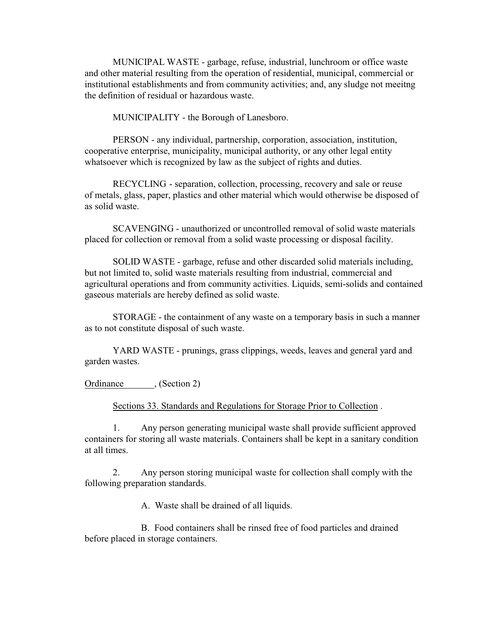MUNICIPAL WASTE - garbage, refuse, industrial, lunchroom or office waste and other material resulting from the operation of residential, municipal, commercial or institutional establishments and from community activities; and, any sludge not meeitng the definition of residual or hazardous waste.

MUNICIPALITY - the Borough of Lanesboro.

PERSON - any individual, partnership, corporation, association, institution, cooperative enterprise, municipality, municipal authority, or any other legal entity whatsoever which is recognized by law as the subject of rights and duties.

RECYCLING - separation, collection, processing, recovery and sale or reuse of metals, glass, paper, plastics and other material which would otherwise be disposed of as solid waste.

SCAVENGING - unauthorized or uncontrolled removal of solid waste materials placed for collection or removal from a solid waste processing or disposal facility.

SOLID WASTE - garbage, refuse and other discarded solid materials including, but not limited to, solid waste materials resulting from industrial, commercial and agricultural operations and from community activities. Liquids, semi-solids and contained gaseous materials are hereby defined as solid waste.

STORAGE - the containment of any waste on a temporary basis in such a manner as to not constitute disposal of such waste.

YARD WASTE - prunings, grass clippings, weeds, leaves and general yard and garden wastes.

Ordinance , (Section 2)

Sections 33. Standards and Regulations for Storage Prior to Collection .

1. Any person generating municipal waste shall provide sufficient approved containers for storing all waste materials. Containers shall be kept in a sanitary condition at all times.

2. Any person storing municipal waste for collection shall comply with the following preparation standards.

A. Waste shall be drained of all liquids.

B. Food containers shall be rinsed free of food particles and drained before placed in storage containers.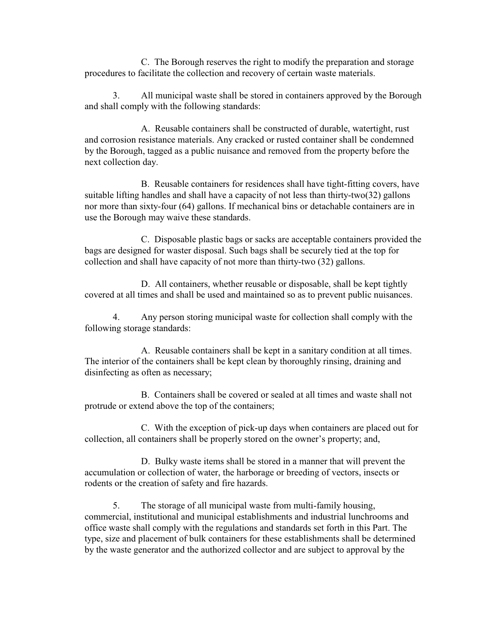C. The Borough reserves the right to modify the preparation and storage procedures to facilitate the collection and recovery of certain waste materials.

3. All municipal waste shall be stored in containers approved by the Borough and shall comply with the following standards:

A. Reusable containers shall be constructed of durable, watertight, rust and corrosion resistance materials. Any cracked or rusted container shall be condemned by the Borough, tagged as a public nuisance and removed from the property before the next collection day.

B. Reusable containers for residences shall have tight-fitting covers, have suitable lifting handles and shall have a capacity of not less than thirty-two(32) gallons nor more than sixty-four (64) gallons. If mechanical bins or detachable containers are in use the Borough may waive these standards.

C. Disposable plastic bags or sacks are acceptable containers provided the bags are designed for waster disposal. Such bags shall be securely tied at the top for collection and shall have capacity of not more than thirty-two (32) gallons.

D. All containers, whether reusable or disposable, shall be kept tightly covered at all times and shall be used and maintained so as to prevent public nuisances.

4. Any person storing municipal waste for collection shall comply with the following storage standards:

A. Reusable containers shall be kept in a sanitary condition at all times. The interior of the containers shall be kept clean by thoroughly rinsing, draining and disinfecting as often as necessary;

B. Containers shall be covered or sealed at all times and waste shall not protrude or extend above the top of the containers;

C. With the exception of pick-up days when containers are placed out for collection, all containers shall be properly stored on the owner's property; and,

D. Bulky waste items shall be stored in a manner that will prevent the accumulation or collection of water, the harborage or breeding of vectors, insects or rodents or the creation of safety and fire hazards.

5. The storage of all municipal waste from multi-family housing, commercial, institutional and municipal establishments and industrial lunchrooms and office waste shall comply with the regulations and standards set forth in this Part. The type, size and placement of bulk containers for these establishments shall be determined by the waste generator and the authorized collector and are subject to approval by the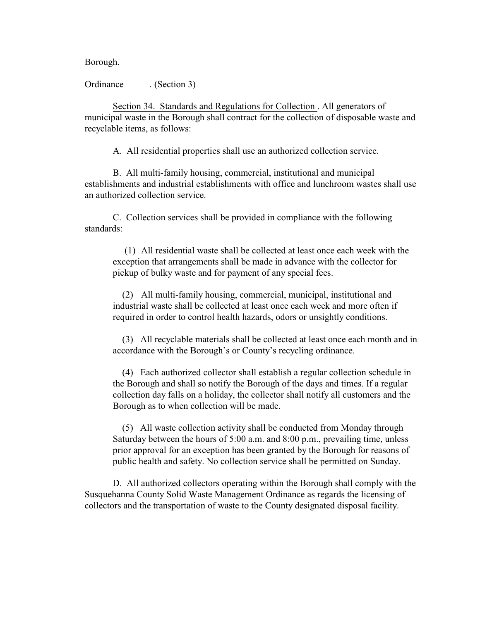Borough.

Ordinance . (Section 3)

Section 34. Standards and Regulations for Collection . All generators of municipal waste in the Borough shall contract for the collection of disposable waste and recyclable items, as follows:

A. All residential properties shall use an authorized collection service.

B. All multi-family housing, commercial, institutional and municipal establishments and industrial establishments with office and lunchroom wastes shall use an authorized collection service.

C. Collection services shall be provided in compliance with the following standards:

 (1) All residential waste shall be collected at least once each week with the exception that arrangements shall be made in advance with the collector for pickup of bulky waste and for payment of any special fees.

 (2) All multi-family housing, commercial, municipal, institutional and industrial waste shall be collected at least once each week and more often if required in order to control health hazards, odors or unsightly conditions.

 (3) All recyclable materials shall be collected at least once each month and in accordance with the Borough's or County's recycling ordinance.

 (4) Each authorized collector shall establish a regular collection schedule in the Borough and shall so notify the Borough of the days and times. If a regular collection day falls on a holiday, the collector shall notify all customers and the Borough as to when collection will be made.

 (5) All waste collection activity shall be conducted from Monday through Saturday between the hours of 5:00 a.m. and 8:00 p.m., prevailing time, unless prior approval for an exception has been granted by the Borough for reasons of public health and safety. No collection service shall be permitted on Sunday.

D. All authorized collectors operating within the Borough shall comply with the Susquehanna County Solid Waste Management Ordinance as regards the licensing of collectors and the transportation of waste to the County designated disposal facility.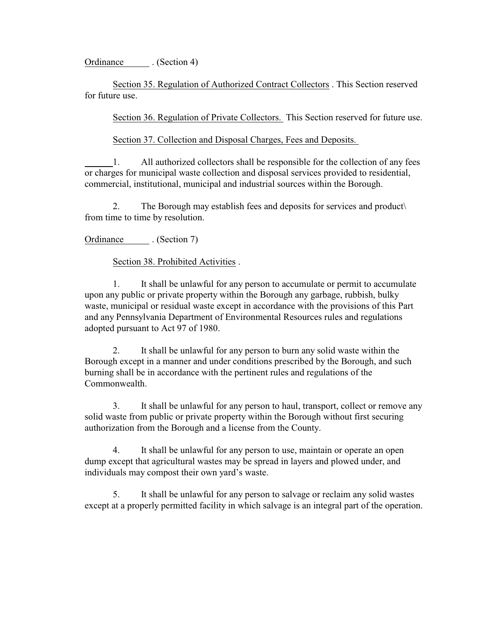Ordinance . (Section 4)

Section 35. Regulation of Authorized Contract Collectors . This Section reserved for future use.

Section 36. Regulation of Private Collectors. This Section reserved for future use.

Section 37. Collection and Disposal Charges, Fees and Deposits.

1. All authorized collectors shall be responsible for the collection of any fees or charges for municipal waste collection and disposal services provided to residential, commercial, institutional, municipal and industrial sources within the Borough.

2. The Borough may establish fees and deposits for services and product\ from time to time by resolution.

Ordinance . (Section 7)

Section 38. Prohibited Activities .

1. It shall be unlawful for any person to accumulate or permit to accumulate upon any public or private property within the Borough any garbage, rubbish, bulky waste, municipal or residual waste except in accordance with the provisions of this Part and any Pennsylvania Department of Environmental Resources rules and regulations adopted pursuant to Act 97 of 1980.

2. It shall be unlawful for any person to burn any solid waste within the Borough except in a manner and under conditions prescribed by the Borough, and such burning shall be in accordance with the pertinent rules and regulations of the Commonwealth.

3. It shall be unlawful for any person to haul, transport, collect or remove any solid waste from public or private property within the Borough without first securing authorization from the Borough and a license from the County.

4. It shall be unlawful for any person to use, maintain or operate an open dump except that agricultural wastes may be spread in layers and plowed under, and individuals may compost their own yard's waste.

5. It shall be unlawful for any person to salvage or reclaim any solid wastes except at a properly permitted facility in which salvage is an integral part of the operation.